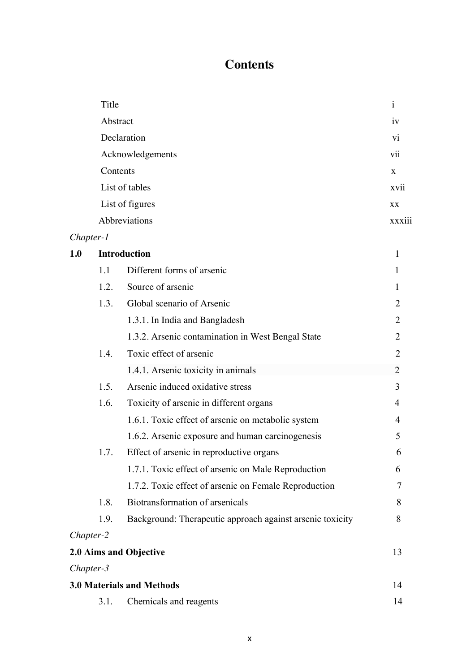## **Contents**

|           | Title    |                                                           | $\mathbf{i}$   |
|-----------|----------|-----------------------------------------------------------|----------------|
|           | Abstract |                                                           | iv             |
|           |          | Declaration                                               | vi             |
|           |          | Acknowledgements                                          | vii            |
|           | Contents |                                                           | X              |
|           |          | List of tables                                            | xvii           |
|           |          | List of figures                                           | <b>XX</b>      |
|           |          | Abbreviations                                             | <b>XXX111</b>  |
| Chapter-1 |          |                                                           |                |
| 1.0       |          | <b>Introduction</b>                                       | 1              |
|           | 1.1      | Different forms of arsenic                                | 1              |
|           | 1.2.     | Source of arsenic                                         | 1              |
|           | 1.3.     | Global scenario of Arsenic                                | $\overline{2}$ |
|           |          | 1.3.1. In India and Bangladesh                            | $\overline{2}$ |
|           |          | 1.3.2. Arsenic contamination in West Bengal State         | $\overline{2}$ |
|           | 1.4.     | Toxic effect of arsenic                                   | $\overline{2}$ |
|           |          | 1.4.1. Arsenic toxicity in animals                        | $\overline{2}$ |
|           | 1.5.     | Arsenic induced oxidative stress                          | 3              |
|           | 1.6.     | Toxicity of arsenic in different organs                   | 4              |
|           |          | 1.6.1. Toxic effect of arsenic on metabolic system        | 4              |
|           |          | 1.6.2. Arsenic exposure and human carcinogenesis          | 5              |
|           | 1.7.     | Effect of arsenic in reproductive organs                  | 6              |
|           |          | 1.7.1. Toxic effect of arsenic on Male Reproduction       | 6              |
|           |          | 1.7.2. Toxic effect of arsenic on Female Reproduction     | 7              |
|           | 1.8.     | Biotransformation of arsenicals                           | 8              |
|           | 1.9.     | Background: Therapeutic approach against arsenic toxicity | 8              |
| Chapter-2 |          |                                                           |                |
|           |          | 2.0 Aims and Objective                                    | 13             |
| Chapter-3 |          |                                                           |                |
|           |          | <b>3.0 Materials and Methods</b>                          | 14             |
|           | 3.1.     | Chemicals and reagents                                    | 14             |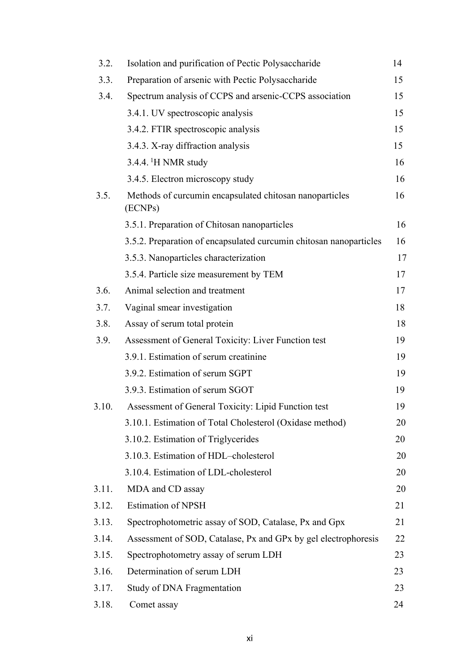| 3.2.  | Isolation and purification of Pectic Polysaccharide                | 14 |
|-------|--------------------------------------------------------------------|----|
| 3.3.  | Preparation of arsenic with Pectic Polysaccharide                  | 15 |
| 3.4.  | Spectrum analysis of CCPS and arsenic-CCPS association             | 15 |
|       | 3.4.1. UV spectroscopic analysis                                   | 15 |
|       | 3.4.2. FTIR spectroscopic analysis                                 | 15 |
|       | 3.4.3. X-ray diffraction analysis                                  | 15 |
|       | $3.4.4$ . <sup>1</sup> H NMR study                                 | 16 |
|       | 3.4.5. Electron microscopy study                                   | 16 |
| 3.5.  | Methods of curcumin encapsulated chitosan nanoparticles<br>(ECNPs) | 16 |
|       | 3.5.1. Preparation of Chitosan nanoparticles                       | 16 |
|       | 3.5.2. Preparation of encapsulated curcumin chitosan nanoparticles | 16 |
|       | 3.5.3. Nanoparticles characterization                              | 17 |
|       | 3.5.4. Particle size measurement by TEM                            | 17 |
| 3.6.  | Animal selection and treatment                                     | 17 |
| 3.7.  | Vaginal smear investigation                                        | 18 |
| 3.8.  | Assay of serum total protein                                       | 18 |
| 3.9.  | Assessment of General Toxicity: Liver Function test                | 19 |
|       | 3.9.1. Estimation of serum creatinine                              | 19 |
|       | 3.9.2. Estimation of serum SGPT                                    | 19 |
|       | 3.9.3. Estimation of serum SGOT                                    | 19 |
| 3.10. | Assessment of General Toxicity: Lipid Function test                | 19 |
|       | 3.10.1. Estimation of Total Cholesterol (Oxidase method)           | 20 |
|       | 3.10.2. Estimation of Triglycerides                                | 20 |
|       | 3.10.3. Estimation of HDL-cholesterol                              | 20 |
|       | 3.10.4. Estimation of LDL-cholesterol                              | 20 |
| 3.11. | MDA and CD assay                                                   | 20 |
| 3.12. | <b>Estimation of NPSH</b>                                          | 21 |
| 3.13. | Spectrophotometric assay of SOD, Catalase, Px and Gpx              | 21 |
| 3.14. | Assessment of SOD, Catalase, Px and GPx by gel electrophoresis     | 22 |
| 3.15. | Spectrophotometry assay of serum LDH                               | 23 |
| 3.16. | Determination of serum LDH                                         | 23 |
| 3.17. | Study of DNA Fragmentation                                         | 23 |
| 3.18. | Comet assay                                                        | 24 |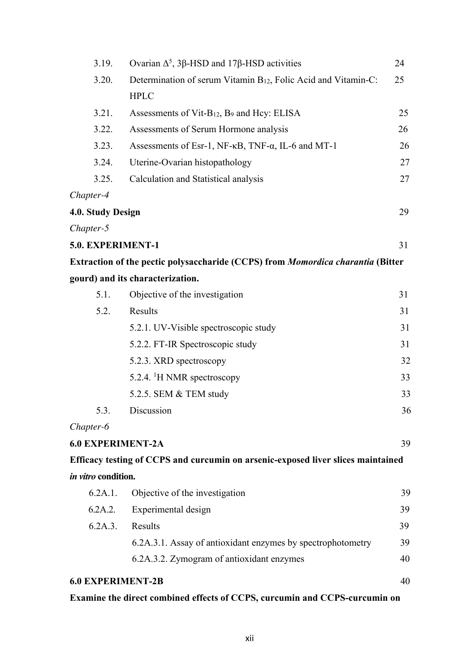| 3.19.                    | Ovarian $Δ^5$ , 3β-HSD and 17β-HSD activities                                    | 24 |
|--------------------------|----------------------------------------------------------------------------------|----|
| 3.20.                    | Determination of serum Vitamin B <sub>12</sub> , Folic Acid and Vitamin-C:       | 25 |
|                          | <b>HPLC</b>                                                                      |    |
| 3.21.                    | Assessments of Vit- $B_{12}$ , $B_9$ and Hcy: ELISA                              | 25 |
| 3.22.                    | Assessments of Serum Hormone analysis                                            | 26 |
| 3.23.                    | Assessments of Esr-1, NF-KB, TNF-a, IL-6 and MT-1                                | 26 |
| 3.24.                    | Uterine-Ovarian histopathology                                                   | 27 |
| 3.25.                    | Calculation and Statistical analysis                                             | 27 |
| Chapter-4                |                                                                                  |    |
| 4.0. Study Design        |                                                                                  | 29 |
| Chapter-5                |                                                                                  |    |
| 5.0. EXPERIMENT-1        |                                                                                  | 31 |
|                          | Extraction of the pectic polysaccharide (CCPS) from Momordica charantia (Bitter  |    |
|                          | gourd) and its characterization.                                                 |    |
| 5.1.                     | Objective of the investigation                                                   | 31 |
| 5.2.                     | Results                                                                          | 31 |
|                          | 5.2.1. UV-Visible spectroscopic study                                            | 31 |
|                          | 5.2.2. FT-IR Spectroscopic study                                                 | 31 |
|                          | 5.2.3. XRD spectroscopy                                                          | 32 |
|                          | 5.2.4. <sup>1</sup> H NMR spectroscopy                                           | 33 |
|                          | 5.2.5. SEM & TEM study                                                           | 33 |
| 5.3.                     | Discussion                                                                       | 36 |
| Chapter-6                |                                                                                  |    |
| <b>6.0 EXPERIMENT-2A</b> |                                                                                  | 39 |
|                          | Efficacy testing of CCPS and curcumin on arsenic-exposed liver slices maintained |    |
| in vitro condition.      |                                                                                  |    |
| 6.2A.1.                  | Objective of the investigation                                                   | 39 |
| 6.2A.2.                  | Experimental design                                                              | 39 |
| 6.2A.3.                  | Results                                                                          | 39 |
|                          | 6.2A.3.1. Assay of antioxidant enzymes by spectrophotometry                      | 39 |
|                          | 6.2A.3.2. Zymogram of antioxidant enzymes                                        | 40 |
| <b>6.0 EXPERIMENT-2B</b> |                                                                                  | 40 |
|                          |                                                                                  |    |

## **Examine the direct combined effects of CCPS, curcumin and CCPS-curcumin on**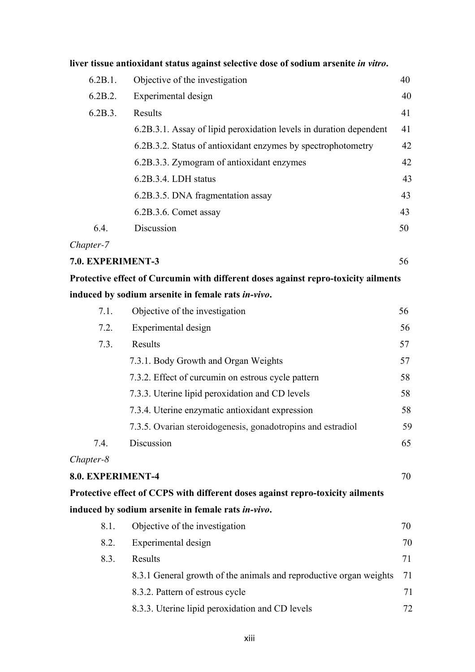|                   | liver tissue antioxidant status against selective dose of sodium arsenite in vitro. |    |
|-------------------|-------------------------------------------------------------------------------------|----|
| 6.2B.1.           | Objective of the investigation                                                      | 40 |
| 6.2B.2.           | Experimental design                                                                 | 40 |
| 6.2B.3.           | Results                                                                             | 41 |
|                   | 6.2B.3.1. Assay of lipid peroxidation levels in duration dependent                  | 41 |
|                   | 6.2B.3.2. Status of antioxidant enzymes by spectrophotometry                        | 42 |
|                   | 6.2B.3.3. Zymogram of antioxidant enzymes                                           | 42 |
|                   | 6.2B.3.4. LDH status                                                                | 43 |
|                   | 6.2B.3.5. DNA fragmentation assay                                                   | 43 |
|                   | 6.2B.3.6. Comet assay                                                               | 43 |
| 6.4.              | Discussion                                                                          | 50 |
| Chapter-7         |                                                                                     |    |
| 7.0. EXPERIMENT-3 |                                                                                     | 56 |
|                   | Protective effect of Curcumin with different doses against repro-toxicity ailments  |    |
|                   | induced by sodium arsenite in female rats in-vivo.                                  |    |
| 7.1.              | Objective of the investigation                                                      | 56 |
| 7.2.              | Experimental design                                                                 | 56 |
| 7.3.              | Results                                                                             | 57 |
|                   | 7.3.1. Body Growth and Organ Weights                                                | 57 |
|                   | 7.3.2. Effect of curcumin on estrous cycle pattern                                  | 58 |
|                   | 7.3.3. Uterine lipid peroxidation and CD levels                                     | 58 |
|                   | 7.3.4. Uterine enzymatic antioxidant expression                                     | 58 |
|                   | 7.3.5. Ovarian steroidogenesis, gonadotropins and estradiol                         | 59 |
| 7.4.              | Discussion                                                                          | 65 |
| Chapter-8         |                                                                                     |    |
| 8.0. EXPERIMENT-4 |                                                                                     | 70 |
|                   | Protective effect of CCPS with different doses against repro-toxicity ailments      |    |
|                   | induced by sodium arsenite in female rats in-vivo.                                  |    |
| 8.1.              | Objective of the investigation                                                      | 70 |
| 8.2.              | Experimental design                                                                 | 70 |
| 8.3.              | Results                                                                             | 71 |
|                   | 8.3.1 General growth of the animals and reproductive organ weights                  | 71 |
|                   | 8.3.2. Pattern of estrous cycle                                                     | 71 |
|                   | 8.3.3. Uterine lipid peroxidation and CD levels                                     | 72 |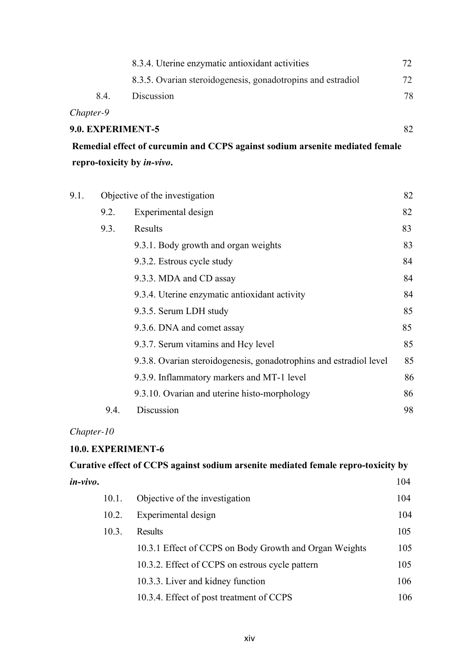|                   | 8.3.4. Uterine enzymatic antioxidant activities             |     |
|-------------------|-------------------------------------------------------------|-----|
|                   | 8.3.5. Ovarian steroidogenesis, gonadotropins and estradiol | 72. |
| 8.4.              | Discussion                                                  | 78  |
| Chapter-9         |                                                             |     |
| 9.0. EXPERIMENT-5 |                                                             |     |

**Remedial effect of curcumin and CCPS against sodium arsenite mediated female repro-toxicity by** *in-vivo***.** 

| 9.1. | Objective of the investigation |                                                                    | 82 |
|------|--------------------------------|--------------------------------------------------------------------|----|
|      | 9.2.                           | Experimental design                                                | 82 |
|      | 9.3.                           | Results                                                            | 83 |
|      |                                | 9.3.1. Body growth and organ weights                               | 83 |
|      |                                | 9.3.2. Estrous cycle study                                         | 84 |
|      |                                | 9.3.3. MDA and CD assay                                            | 84 |
|      |                                | 9.3.4. Uterine enzymatic antioxidant activity                      | 84 |
|      |                                | 9.3.5. Serum LDH study                                             | 85 |
|      |                                | 9.3.6. DNA and comet assay                                         | 85 |
|      |                                | 9.3.7. Serum vitamins and Hey level                                | 85 |
|      |                                | 9.3.8. Ovarian steroidogenesis, gonadotrophins and estradiol level | 85 |
|      |                                | 9.3.9. Inflammatory markers and MT-1 level                         | 86 |
|      |                                | 9.3.10. Ovarian and uterine histo-morphology                       | 86 |
|      | 9.4.                           | Discussion                                                         | 98 |

## *Chapter-10*

## **10.0. EXPERIMENT-6**

| Curative effect of CCPS against sodium arsenite mediated female repro-toxicity by |       |                                                        |     |  |
|-----------------------------------------------------------------------------------|-------|--------------------------------------------------------|-----|--|
| in-vivo.                                                                          |       |                                                        | 104 |  |
|                                                                                   | 10.1. | Objective of the investigation                         | 104 |  |
|                                                                                   | 10.2. | Experimental design                                    | 104 |  |
|                                                                                   | 10.3. | Results                                                | 105 |  |
|                                                                                   |       | 10.3.1 Effect of CCPS on Body Growth and Organ Weights | 105 |  |
|                                                                                   |       | 10.3.2. Effect of CCPS on estrous cycle pattern        | 105 |  |
|                                                                                   |       | 10.3.3. Liver and kidney function                      | 106 |  |
|                                                                                   |       | 10.3.4. Effect of post treatment of CCPS               | 106 |  |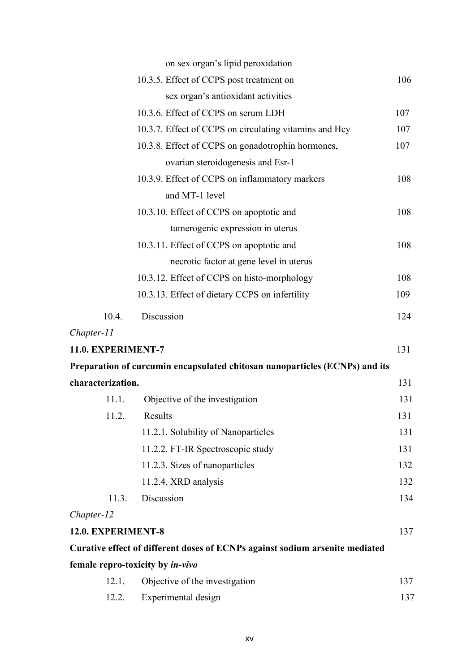|                    |       | on sex organ's lipid peroxidation                                            |     |
|--------------------|-------|------------------------------------------------------------------------------|-----|
|                    |       | 10.3.5. Effect of CCPS post treatment on                                     | 106 |
|                    |       | sex organ's antioxidant activities                                           |     |
|                    |       | 10.3.6. Effect of CCPS on serum LDH                                          | 107 |
|                    |       | 10.3.7. Effect of CCPS on circulating vitamins and Hey                       | 107 |
|                    |       | 10.3.8. Effect of CCPS on gonadotrophin hormones,                            | 107 |
|                    |       | ovarian steroidogenesis and Esr-1                                            |     |
|                    |       | 10.3.9. Effect of CCPS on inflammatory markers                               | 108 |
|                    |       | and MT-1 level                                                               |     |
|                    |       | 10.3.10. Effect of CCPS on apoptotic and                                     | 108 |
|                    |       | tumerogenic expression in uterus                                             |     |
|                    |       | 10.3.11. Effect of CCPS on apoptotic and                                     | 108 |
|                    |       | necrotic factor at gene level in uterus                                      |     |
|                    |       | 10.3.12. Effect of CCPS on histo-morphology                                  | 108 |
|                    |       | 10.3.13. Effect of dietary CCPS on infertility                               | 109 |
| 10.4.              |       | Discussion                                                                   | 124 |
| Chapter-11         |       |                                                                              |     |
| 11.0. EXPERIMENT-7 |       |                                                                              | 131 |
|                    |       | Preparation of curcumin encapsulated chitosan nanoparticles (ECNPs) and its  |     |
| characterization.  |       |                                                                              | 131 |
|                    | 11.1. | Objective of the investigation                                               | 131 |
|                    | 11.2. | Results                                                                      | 131 |
|                    |       | 11.2.1. Solubility of Nanoparticles                                          | 131 |
|                    |       | 11.2.2. FT-IR Spectroscopic study                                            | 131 |
|                    |       | 11.2.3. Sizes of nanoparticles                                               | 132 |
|                    |       | 11.2.4. XRD analysis                                                         | 132 |
|                    | 11.3. | Discussion                                                                   | 134 |
| Chapter-12         |       |                                                                              |     |
| 12.0. EXPERIMENT-8 |       |                                                                              | 137 |
|                    |       | Curative effect of different doses of ECNPs against sodium arsenite mediated |     |
|                    |       | female repro-toxicity by in-vivo                                             |     |
|                    | 12.1. | Objective of the investigation                                               | 137 |
|                    | 12.2. | Experimental design                                                          | 137 |